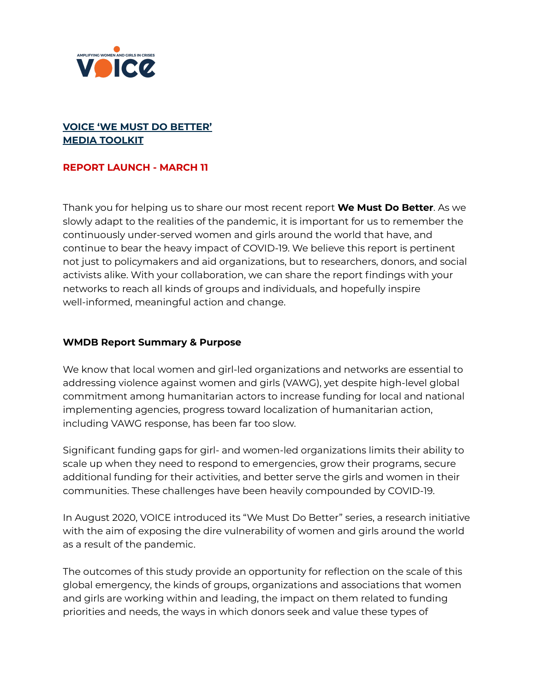

# **VOICE 'WE MUST DO BETTER' MEDIA TOOLKIT**

## **REPORT LAUNCH - MARCH 11**

Thank you for helping us to share our most recent report **We Must Do Better**. As we slowly adapt to the realities of the pandemic, it is important for us to remember the continuously under-served women and girls around the world that have, and continue to bear the heavy impact of COVID-19. We believe this report is pertinent not just to policymakers and aid organizations, but to researchers, donors, and social activists alike. With your collaboration, we can share the report findings with your networks to reach all kinds of groups and individuals, and hopefully inspire well-informed, meaningful action and change.

## **WMDB Report Summary & Purpose**

We know that local women and girl-led organizations and networks are essential to addressing violence against women and girls (VAWG), yet despite high-level global commitment among humanitarian actors to increase funding for local and national implementing agencies, progress toward localization of humanitarian action, including VAWG response, has been far too slow.

Significant funding gaps for girl- and women-led organizations limits their ability to scale up when they need to respond to emergencies, grow their programs, secure additional funding for their activities, and better serve the girls and women in their communities. These challenges have been heavily compounded by COVID-19.

In August 2020, VOICE introduced its "We Must Do Better" series, a research initiative with the aim of exposing the dire vulnerability of women and girls around the world as a result of the pandemic.

The outcomes of this study provide an opportunity for reflection on the scale of this global emergency, the kinds of groups, organizations and associations that women and girls are working within and leading, the impact on them related to funding priorities and needs, the ways in which donors seek and value these types of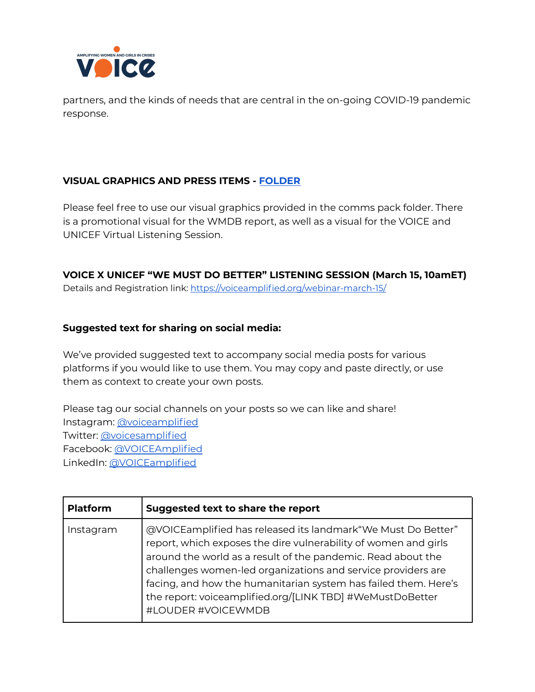

partners, and the kinds of needs that are central in the on-going COVID-19 pandemic response.

## **VISUAL GRAPHICS AND PRESS ITEMS - [FOLDER](https://drive.google.com/drive/folders/1PBzl9DcSUP2yAV0lKhv8SwPW_tH1Pa3p?usp=sharing)**

Please feel free to use our visual graphics provided in the comms pack folder. There is a promotional visual for the WMDB report, as well as a visual for the VOICE and UNICEF Virtual Listening Session.

**VOICE X UNICEF "WE MUST DO BETTER" LISTENING SESSION (March 15, 10amET)** Details and Registration link: <https://voiceamplified.org/webinar-march-15/>

## **Suggested text for sharing on social media:**

We've provided suggested text to accompany social media posts for various platforms if you would like to use them. You may copy and paste directly, or use them as context to create your own posts.

Please tag our social channels on your posts so we can like and share! Instagram: [@voiceamplified](https://www.instagram.com/voiceamplified/) Twitter: [@voicesamplified](https://twitter.com/voicesamplified) Facebook: [@VOICEAmplified](https://www.facebook.com/VOICEAmplified/) LinkedIn: [@VOICEamplified](https://www.linkedin.com/company/voiceamplified/)

| <b>Platform</b> | Suggested text to share the report                                                                                                                                                                                                                                                                                                                                                                                     |
|-----------------|------------------------------------------------------------------------------------------------------------------------------------------------------------------------------------------------------------------------------------------------------------------------------------------------------------------------------------------------------------------------------------------------------------------------|
| Instagram       | @VOICEamplified has released its landmark "We Must Do Better"<br>report, which exposes the dire vulnerability of women and girls<br>around the world as a result of the pandemic. Read about the<br>challenges women-led organizations and service providers are<br>facing, and how the humanitarian system has failed them. Here's<br>the report: voiceamplified.org/[LINK TBD] #WeMustDoBetter<br>#LOUDER #VOICEWMDB |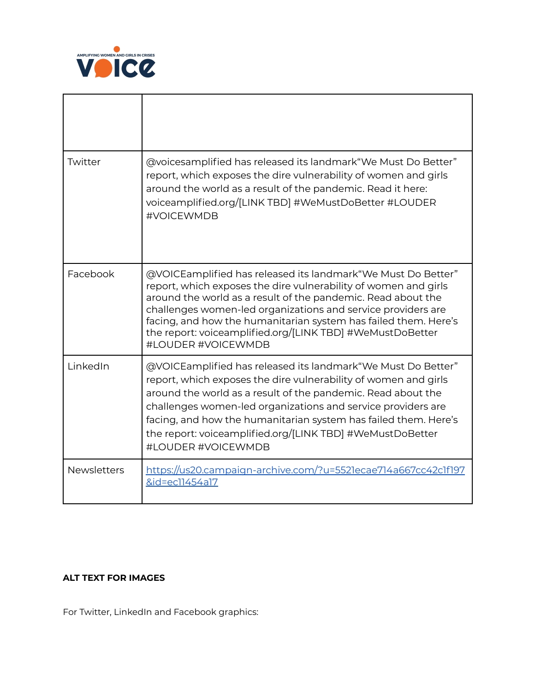

٦

r

| Twitter            | @voicesamplified has released its landmark"We Must Do Better"<br>report, which exposes the dire vulnerability of women and girls<br>around the world as a result of the pandemic. Read it here:<br>voiceamplified.org/[LINK TBD] #WeMustDoBetter #LOUDER<br>#VOICEWMDB                                                                                                                                                 |
|--------------------|------------------------------------------------------------------------------------------------------------------------------------------------------------------------------------------------------------------------------------------------------------------------------------------------------------------------------------------------------------------------------------------------------------------------|
| Facebook           | @VOICEamplified has released its landmark "We Must Do Better"<br>report, which exposes the dire vulnerability of women and girls<br>around the world as a result of the pandemic. Read about the<br>challenges women-led organizations and service providers are<br>facing, and how the humanitarian system has failed them. Here's<br>the report: voiceamplified.org/[LINK TBD] #WeMustDoBetter<br>#LOUDER #VOICEWMDB |
| LinkedIn           | @VOICEamplified has released its landmark "We Must Do Better"<br>report, which exposes the dire vulnerability of women and girls<br>around the world as a result of the pandemic. Read about the<br>challenges women-led organizations and service providers are<br>facing, and how the humanitarian system has failed them. Here's<br>the report: voiceamplified.org/[LINK TBD] #WeMustDoBetter<br>#LOUDER #VOICEWMDB |
| <b>Newsletters</b> | https://us20.campaign-archive.com/?u=5521ecae714a667cc42c1f197<br>&id=ec11454a17                                                                                                                                                                                                                                                                                                                                       |

## **ALT TEXT FOR IMAGES**

For Twitter, LinkedIn and Facebook graphics: